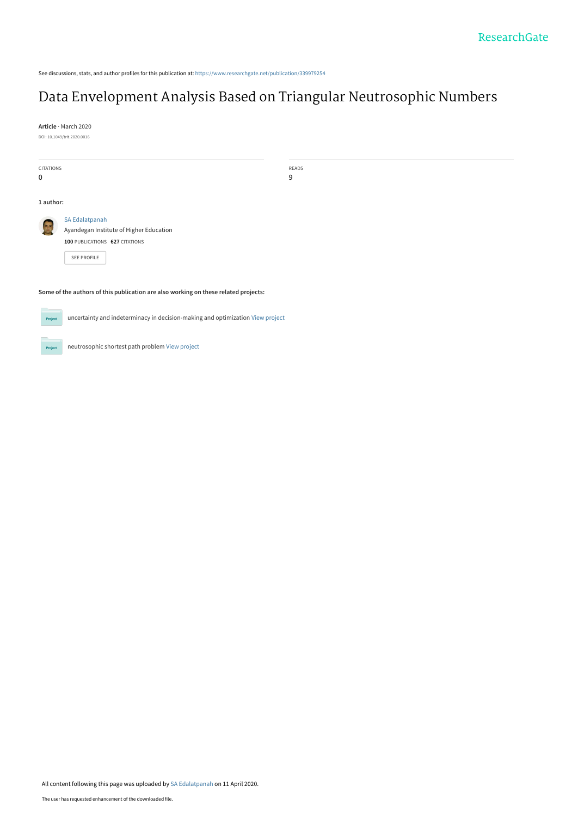See discussions, stats, and author profiles for this publication at: [https://www.researchgate.net/publication/339979254](https://www.researchgate.net/publication/339979254_Data_Envelopment_Analysis_Based_on_Triangular_Neutrosophic_Numbers?enrichId=rgreq-bed24a7bf5d5e84dd2e1cca7cb6cba26-XXX&enrichSource=Y292ZXJQYWdlOzMzOTk3OTI1NDtBUzo4NzkxMzAyNDk4MTgxMTJAMTU4NjYxMjM5MzE2OA%3D%3D&el=1_x_2&_esc=publicationCoverPdf)

# [Data Envelopment Analysis Based on Triangular Neutrosophic Numbers](https://www.researchgate.net/publication/339979254_Data_Envelopment_Analysis_Based_on_Triangular_Neutrosophic_Numbers?enrichId=rgreq-bed24a7bf5d5e84dd2e1cca7cb6cba26-XXX&enrichSource=Y292ZXJQYWdlOzMzOTk3OTI1NDtBUzo4NzkxMzAyNDk4MTgxMTJAMTU4NjYxMjM5MzE2OA%3D%3D&el=1_x_3&_esc=publicationCoverPdf)

**Article** · March 2020 DOI: 10.1049/trit.2020.0016

**Project** 

 $Prc$ 

CITATIONS 0 READS 9 **1 author: Some of the authors of this publication are also working on these related projects:** [SA Edalatpanah](https://www.researchgate.net/profile/Sa_Edalatpanah3?enrichId=rgreq-bed24a7bf5d5e84dd2e1cca7cb6cba26-XXX&enrichSource=Y292ZXJQYWdlOzMzOTk3OTI1NDtBUzo4NzkxMzAyNDk4MTgxMTJAMTU4NjYxMjM5MzE2OA%3D%3D&el=1_x_5&_esc=publicationCoverPdf) [Ayandegan Institute of Higher Education](https://www.researchgate.net/institution/Ayandegan_Institute_of_Higher_Education?enrichId=rgreq-bed24a7bf5d5e84dd2e1cca7cb6cba26-XXX&enrichSource=Y292ZXJQYWdlOzMzOTk3OTI1NDtBUzo4NzkxMzAyNDk4MTgxMTJAMTU4NjYxMjM5MzE2OA%3D%3D&el=1_x_6&_esc=publicationCoverPdf) **100** PUBLICATIONS **627** CITATIONS [SEE PROFILE](https://www.researchgate.net/profile/Sa_Edalatpanah3?enrichId=rgreq-bed24a7bf5d5e84dd2e1cca7cb6cba26-XXX&enrichSource=Y292ZXJQYWdlOzMzOTk3OTI1NDtBUzo4NzkxMzAyNDk4MTgxMTJAMTU4NjYxMjM5MzE2OA%3D%3D&el=1_x_7&_esc=publicationCoverPdf)

uncertainty and indeterminacy in decision-making and optimization [View project](https://www.researchgate.net/project/uncertainty-and-indeterminacy-in-decision-making-and-optimization?enrichId=rgreq-bed24a7bf5d5e84dd2e1cca7cb6cba26-XXX&enrichSource=Y292ZXJQYWdlOzMzOTk3OTI1NDtBUzo4NzkxMzAyNDk4MTgxMTJAMTU4NjYxMjM5MzE2OA%3D%3D&el=1_x_9&_esc=publicationCoverPdf)

neutrosophic shortest path problem [View project](https://www.researchgate.net/project/neutrosophic-shortest-path-problem?enrichId=rgreq-bed24a7bf5d5e84dd2e1cca7cb6cba26-XXX&enrichSource=Y292ZXJQYWdlOzMzOTk3OTI1NDtBUzo4NzkxMzAyNDk4MTgxMTJAMTU4NjYxMjM5MzE2OA%3D%3D&el=1_x_9&_esc=publicationCoverPdf)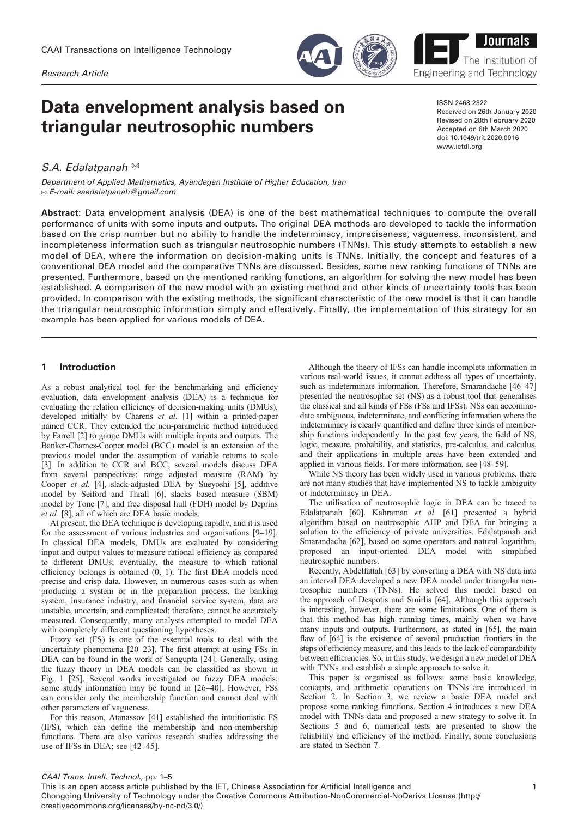Research Article

# Data envelopment analysis based on triangular neutrosophic numbers

S.A. Edalatpanah  $\boxtimes$ 

Department of Applied Mathematics, Ayandegan Institute of Higher Education, Iran ✉ E-mail: saedalatpanah@gmail.com

Abstract: Data envelopment analysis (DEA) is one of the best mathematical techniques to compute the overall performance of units with some inputs and outputs. The original DEA methods are developed to tackle the information based on the crisp number but no ability to handle the indeterminacy, impreciseness, vagueness, inconsistent, and incompleteness information such as triangular neutrosophic numbers (TNNs). This study attempts to establish a new model of DEA, where the information on decision-making units is TNNs. Initially, the concept and features of a conventional DEA model and the comparative TNNs are discussed. Besides, some new ranking functions of TNNs are presented. Furthermore, based on the mentioned ranking functions, an algorithm for solving the new model has been established. A comparison of the new model with an existing method and other kinds of uncertainty tools has been provided. In comparison with the existing methods, the significant characteristic of the new model is that it can handle the triangular neutrosophic information simply and effectively. Finally, the implementation of this strategy for an example has been applied for various models of DEA.

## 1 Introduction

As a robust analytical tool for the benchmarking and efficiency evaluation, data envelopment analysis (DEA) is a technique for evaluating the relation efficiency of decision-making units (DMUs), developed initially by Charens et al. [\[1](#page-4-0)] within a printed-paper named CCR. They extended the non-parametric method introduced by Farrell [\[2\]](#page-4-0) to gauge DMUs with multiple inputs and outputs. The Banker-Charnes-Cooper model (BCC) model is an extension of the previous model under the assumption of variable returns to scale [\[3\]](#page-5-0). In addition to CCR and BCC, several models discuss DEA from several perspectives: range adjusted measure (RAM) by Cooper et al. [\[4\]](#page-5-0), slack-adjusted DEA by Sueyoshi [\[5\]](#page-5-0), additive model by Seiford and Thrall [[6\]](#page-5-0), slacks based measure (SBM) model by Tone [\[7](#page-5-0)], and free disposal hull (FDH) model by Deprins et al. [\[8](#page-5-0)], all of which are DEA basic models.

At present, the DEA technique is developing rapidly, and it is used for the assessment of various industries and organisations [\[9](#page-5-0)–[19](#page-5-0)]. In classical DEA models, DMUs are evaluated by considering input and output values to measure rational efficiency as compared to different DMUs; eventually, the measure to which rational efficiency belongs is obtained (0, 1). The first DEA models need precise and crisp data. However, in numerous cases such as when producing a system or in the preparation process, the banking system, insurance industry, and financial service system, data are unstable, uncertain, and complicated; therefore, cannot be accurately measured. Consequently, many analysts attempted to model DEA with completely different questioning hypotheses.

Fuzzy set (FS) is one of the essential tools to deal with the uncertainty phenomena [[20](#page-5-0)–[23](#page-5-0)]. The first attempt at using FSs in DEA can be found in the work of Sengupta [[24\]](#page-5-0). Generally, using the fuzzy theory in DEA models can be classified as shown in Fig. [1](#page-2-0) [\[25](#page-5-0)]. Several works investigated on fuzzy DEA models; some study information may be found in [\[26](#page-5-0)–[40\]](#page-5-0). However, FSs can consider only the membership function and cannot deal with other parameters of vagueness.

For this reason, Atanassov [[41\]](#page-5-0) established the intuitionistic FS (IFS), which can define the membership and non-membership functions. There are also various research studies addressing the use of IFSs in DEA; see [[42](#page-5-0)–[45](#page-5-0)].

creativecommons.org/licenses/by-nc-nd/3.0/)

Although the theory of IFSs can handle incomplete information in various real-world issues, it cannot address all types of uncertainty, such as indeterminate information. Therefore, Smarandache [[46](#page-5-0)–[47\]](#page-5-0) presented the neutrosophic set (NS) as a robust tool that generalises the classical and all kinds of FSs (FSs and IFSs). NSs can accommodate ambiguous, indeterminate, and conflicting information where the indeterminacy is clearly quantified and define three kinds of membership functions independently. In the past few years, the field of NS, logic, measure, probability, and statistics, pre-calculus, and calculus, and their applications in multiple areas have been extended and applied in various fields. For more information, see [\[48](#page-5-0)–[59](#page-5-0)].

While NS theory has been widely used in various problems, there are not many studies that have implemented NS to tackle ambiguity or indeterminacy in DEA.

The utilisation of neutrosophic logic in DEA can be traced to Edalatpanah [[60\]](#page-5-0). Kahraman et al. [\[61](#page-5-0)] presented a hybrid algorithm based on neutrosophic AHP and DEA for bringing a solution to the efficiency of private universities. Edalatpanah and Smarandache [[62\]](#page-5-0), based on some operators and natural logarithm, proposed an input-oriented DEA model with simplified neutrosophic numbers.

Recently, Abdelfattah [\[63](#page-5-0)] by converting a DEA with NS data into an interval DEA developed a new DEA model under triangular neutrosophic numbers (TNNs). He solved this model based on the approach of Despotis and Smirlis [[64\]](#page-5-0). Although this approach is interesting, however, there are some limitations. One of them is that this method has high running times, mainly when we have many inputs and outputs. Furthermore, as stated in [\[65\]](#page-5-0), the main flaw of [[64\]](#page-5-0) is the existence of several production frontiers in the steps of efficiency measure, and this leads to the lack of comparability between efficiencies. So, in this study, we design a new model of DEA with TNNs and establish a simple approach to solve it.

This paper is organised as follows: some basic knowledge, concepts, and arithmetic operations on TNNs are introduced in Section 2. In Section 3, we review a basic DEA model and propose some ranking functions. Section 4 introduces a new DEA model with TNNs data and proposed a new strategy to solve it. In Sections 5 and 6, numerical tests are presented to show the reliability and efficiency of the method. Finally, some conclusions are stated in Section 7.

ISSN 2468-2322 Received on 26th January 2020 Revised on 28th February 2020 Accepted on 6th March 2020 doi: 10.1049/trit.2020.0016 www.ietdl.org

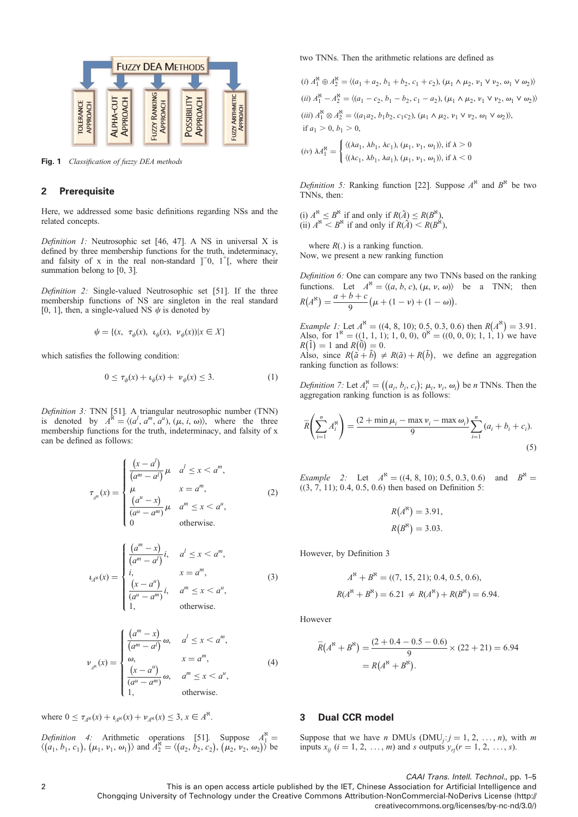<span id="page-2-0"></span>

Fig. 1 Classification of fuzzy DEA methods

## 2 Prerequisite

Here, we addressed some basic definitions regarding NSs and the related concepts.

Definition 1: Neutrosophic set [[46](#page-5-0), [47\]](#page-5-0). A NS in universal X is defined by three membership functions for the truth, indeterminacy, and falsity of x in the real non-standard  $]$ <sup>-1</sup>, where their summation belong to [0, 3].

Definition 2: Single-valued Neutrosophic set [\[51](#page-5-0)]. If the three membership functions of NS are singleton in the real standard [0, 1], then, a single-valued NS  $\psi$  is denoted by

$$
\psi = \{(x, \ \tau_{\psi}(x), \ \iota_{\psi}(x), \ \nu_{\psi}(x)) | x \in X\}
$$

which satisfies the following condition:

$$
0 \le \tau_{\psi}(x) + \iota_{\psi}(x) + \nu_{\psi}(x) \le 3. \tag{1}
$$

Definition 3: TNN [[51\]](#page-5-0). A triangular neutrosophic number (TNN) is denoted by  $A^{\aleph} = \langle (a^l, a^m, a^u), (\mu, i, \omega) \rangle$ , where the three membership functions for the truth, indeterminacy, and falsity of x can be defined as follows:

$$
\tau_{A^{\kappa}}(x) = \begin{cases}\n\frac{(x-a^l)}{(a^m-a^l)} \mu & a^l \le x < a^m, \\
\mu & x = a^m, \\
\frac{(a^u-x)}{(a^u-a^m)} \mu & a^m \le x < a^u, \\
0 & \text{otherwise.} \n\end{cases}
$$
\n(2)

$$
L_{A^{N}}(x) = \begin{cases} \frac{(a^{m} - x)}{(a^{m} - a^{l})} i, & a^{l} \leq x < a^{m}, \\ i, & x = a^{m}, \\ \frac{(x - a^{u})}{(a^{u} - a^{m})} i, & a^{m} \leq x < a^{u}, \\ 1, & \text{otherwise.} \end{cases} \tag{3}
$$

$$
\nu_{A^{\aleph}}(x) = \begin{cases}\n\frac{(a^m - x)}{(a^m - a^l)} \omega, & a^l \le x < a^m, \\
\omega, & x = a^m, \\
\frac{(x - a^u)}{(a^u - a^m)} \omega, & a^m \le x < a^u, \\
1, & \text{otherwise.} \n\end{cases}
$$
\n(4)

where  $0 \le \tau_{A^{N}}(x) + \iota_{A^{N}}(x) + \nu_{A^{N}}(x) \le 3, x \in A^{N}$ .

Definition 4: Arithmetic operations [[51\]](#page-5-0). Suppose  $A_1^8 = \langle (a_1, b_1, c_1), (\mu_1, \nu_1, \omega_1) \rangle$  and  $A_2^8 = \langle (a_2, b_2, c_2), (\mu_2, \nu_2, \omega_2) \rangle$  be

two TNNs. Then the arithmetic relations are defined as

$$
(i) A_1^8 \oplus A_2^8 = \langle (a_1 + a_2, b_1 + b_2, c_1 + c_2), (\mu_1 \wedge \mu_2, \nu_1 \vee \nu_2, \omega_1 \vee \omega_2) \rangle
$$
  
\n
$$
(ii) A_1^8 - A_2^8 = \langle (a_1 - c_2, b_1 - b_2, c_1 - a_2), (\mu_1 \wedge \mu_2, \nu_1 \vee \nu_2, \omega_1 \vee \omega_2) \rangle
$$
  
\n
$$
(iii) A_1^8 \otimes A_2^8 = \langle (a_1 a_2, b_1 b_2, c_1 c_2), (\mu_1 \wedge \mu_2, \nu_1 \vee \nu_2, \omega_1 \vee \omega_2) \rangle,
$$
  
\nif  $a_1 > 0, b_1 > 0$ ,  
\n
$$
(iv) \lambda A_1^8 = \begin{cases} \langle (\lambda a_1, \lambda b_1, \lambda c_1), (\mu_1, \nu_1, \omega_1) \rangle, \text{if } \lambda > 0 \\ \langle (\lambda c_1, \lambda b_1, \lambda a_1), (\mu_1, \nu_1, \omega_1) \rangle, \text{if } \lambda < 0 \end{cases}
$$

Definition 5: Ranking function [\[22](#page-5-0)]. Suppose  $A^k$  and  $B^k$  be two TNNs, then:

(i)  $A^{\aleph} \leq B^{\aleph}$  if and only if  $R(\tilde{A}) \leq R(B^{\aleph})$ ,<br>(ii)  $A^{\aleph} < B^{\aleph}$  if and only if  $R(\tilde{A}) < R(B^{\aleph})$ ,

where  $R(.)$  is a ranking function. Now, we present a new ranking function

Definition 6: One can compare any two TNNs based on the ranking functions. Let  $A^k = \langle (a, b, c), (\mu, \nu, \omega) \rangle$  be a TNN; then  $R(A^{\aleph}) = \frac{a+b+c}{9} (\mu + (1-\nu) + (1-\omega)).$ 

Example 1: Let  $A^{\aleph} = ((4, 8, 10); 0.5, 0.3, 0.6)$  then  $R(A^{\aleph}) = 3.91$ . Also, for  $1^k = ((1, 1, 1); 1, 0, 0), 0^k = ((0, 0, 0); 1, 1, 1)$  we have  $R(\tilde{1}) = 1$  and  $R(\tilde{0}) = 0$ . Also, since  $R(\tilde{a} + \tilde{b}) \neq R(\tilde{a}) + R(\tilde{b})$ , we define an aggregation ranking function as follows:

Definition 7: Let  $A_i^k = ((a_i, b_i, c_i); \mu_i, \nu_i, \omega_i)$  be n TNNs. Then the aggregation ranking function is as follows:

$$
\overline{R}\left(\sum_{i=1}^{n} A_{i}^{s}\right) = \frac{(2 + \min \mu_{i} - \max \nu_{i} - \max \omega_{i})}{9} \sum_{i=1}^{n} (a_{i} + b_{i} + c_{i}).
$$
\n(5)

Example 2: Let  $A^* = ((4, 8, 10); 0.5, 0.3, 0.6)$  and  $B^* =$  $((3, 7, 11); 0.4, 0.5, 0.6)$  then based on Definition 5:

$$
R(A^{\aleph}) = 3.91,
$$
  

$$
R(B^{\aleph}) = 3.03.
$$

However, by Definition 3

$$
A^{\kappa} + B^{\kappa} = ((7, 15, 21); 0.4, 0.5, 0.6),
$$
  

$$
R(A^{\kappa} + B^{\kappa}) = 6.21 \neq R(A^{\kappa}) + R(B^{\kappa}) = 6.94.
$$

However

$$
\overline{R}(A^{\aleph} + B^{\aleph}) = \frac{(2 + 0.4 - 0.5 - 0.6)}{9} \times (22 + 21) = 6.94
$$

$$
= R(A^{\aleph} + B^{\aleph}).
$$

# 3 Dual CCR model

Suppose that we have *n* DMUs (DMU<sub>j</sub>:  $j = 1, 2, ..., n$ ), with *m* inputs  $x_{ij}$   $(i = 1, 2, ..., m)$  and s outputs  $y_{ri}(r = 1, 2, ..., s)$ .

CAAI Trans. Intell. Technol., pp. 1–5

<sup>2</sup> This is an open access article published by the IET, Chinese Association for Artificial Intelligence and Chongqing University of Technology under the Creative Commons Attribution-NonCommercial-NoDerivs License (http:// creativecommons.org/licenses/by-nc-nd/3.0/)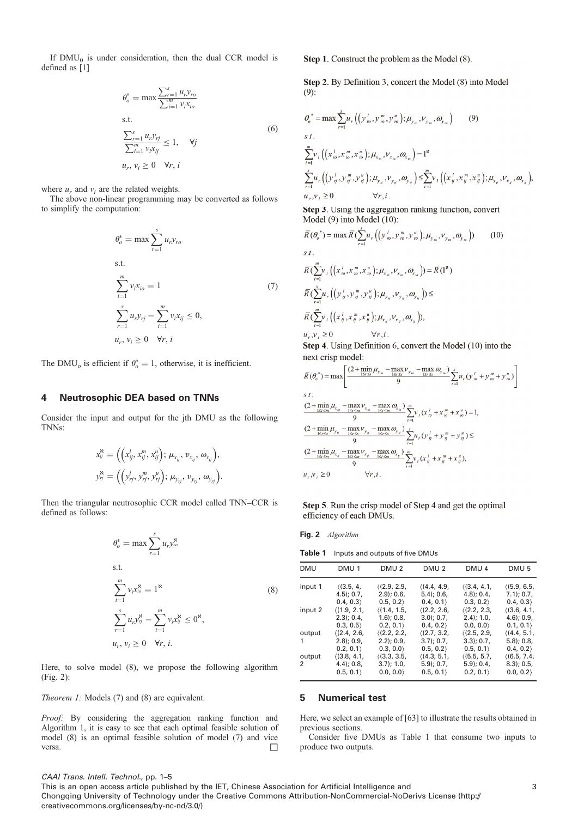<span id="page-3-0"></span>If  $DMU_0$  is under consideration, then the dual CCR model is defined as [[1](#page-4-0)]

$$
\theta_o^* = \max \frac{\sum_{r=1}^s u_r y_{ro}}{\sum_{i=1}^m v_i x_{io}}
$$
\ns.t.  
\n
$$
\frac{\sum_{r=1}^s u_r y_{rj}}{\sum_{i=1}^m v_i x_{ij}} \le 1, \quad \forall j
$$
\n
$$
u_r, v_i \ge 0 \quad \forall r, i
$$
\n(6)

where  $u_r$  and  $v_i$  are the related weights.

The above non-linear programming may be converted as follows to simplify the computation:

$$
\theta_o^* = \max \sum_{r=1}^s u_r y_{ro}
$$
  
s.t.  

$$
\sum_{i=1}^m v_i x_{io} = 1
$$
 (7)  

$$
\sum_{r=1}^s u_r y_{rj} - \sum_{i=1}^m v_i x_{ij} \le 0,
$$
  

$$
u_r, v_i \ge 0 \quad \forall r, i
$$

The DMU<sub>o</sub> is efficient if  $\theta_o^* = 1$ , otherwise, it is inefficient.

## 4 Neutrosophic DEA based on TNNs

Consider the input and output for the jth DMU as the following TNNs:

$$
x_{ij}^R = \left( \left( x_{ij}^l, x_{ij}^m, x_{ij}^u \right); \mu_{x_{ij}}, \nu_{x_{ij}}, \omega_{x_{ij}} \right),
$$
  

$$
y_{ij}^R = \left( \left( y_{rj}^l, y_{rj}^m, y_{rj}^u \right); \mu_{y_{rj}}, \nu_{y_{rj}}, \omega_{y_{rj}} \right).
$$

Then the triangular neutrosophic CCR model called TNN–CCR is defined as follows:

$$
\theta_o^* = \max \sum_{r=1}^s u_r y_o^{\aleph}
$$
  
s.t.  

$$
\sum_{i=1}^m v_i x_o^{\aleph} = 1^{\aleph}
$$
  

$$
\sum_{r=1}^s u_r y_r^{\aleph} - \sum_{i=1}^m v_i x_j^{\aleph} \le 0^{\aleph},
$$
  

$$
u_r, v_i \ge 0 \quad \forall r, i.
$$
 (8)

Here, to solve model (8), we propose the following algorithm (Fig. 2):

Theorem 1: Models (7) and (8) are equivalent.

Proof: By considering the aggregation ranking function and Algorithm 1, it is easy to see that each optimal feasible solution of model (8) is an optimal feasible solution of model (7) and vice versa.

Step 1. Construct the problem as the Model (8).

Step 2. By Definition 3, concert the Model (8) into Model  $(9)$ :

$$
\theta_{o}^{*} = \max \sum_{r=1}^{s} u_{r} \Big( \Big( y_{m}^{l}, y_{m}^{m}, y_{m}^{u} \Big); \mu_{y_{m}}, \nu_{y_{m}}, \omega_{y_{m}} \Big) \qquad (9)
$$
  
s t.  

$$
\sum_{i=1}^{m} v_{i} \Big( \Big( x_{io}^{l}, x_{io}^{m}, x_{io}^{u} \Big); \mu_{x_{io}}, \nu_{x_{io}}, \omega_{x_{io}} \Big) = I^{8}
$$
  

$$
\sum_{r=1}^{s} u_{r} \Big( \Big( y_{ij}^{l}, y_{ij}^{m}, y_{ij}^{u} \Big); \mu_{y_{ij}}, \nu_{y_{ij}}, \omega_{y_{ij}} \Big) \leq \sum_{i=1}^{m} v_{i} \Big( \Big( x_{ij}^{l}, x_{ij}^{m}, x_{ij}^{u} \Big); \mu_{x_{ij}}, \nu_{x_{ij}}, \omega_{x_{ij}} \Big),
$$
  

$$
u_{x}, v_{i} \geq 0 \qquad \forall r, i.
$$

Step 3. Using the aggregation ranking function, convert Model (9) into Model (10):

$$
\overline{R}(\theta_o^*) = \max \overline{R}(\sum_{r=1}^{\infty} u_r ((y_m^j, y_m^m, y_m^u); \mu_{y_m}, \nu_{y_m}, \omega_{y_m})) \qquad (10)
$$
\n*s t.*\n
$$
\overline{R}(\sum_{i=1}^m v_i ((x_{io}^l, x_{io}^m, x_{io}^u); \mu_{x_b}, \nu_{x_b}, \omega_{x_b})) = \overline{R}(\mathbf{I}^{\mathbf{x}})
$$
\n
$$
\overline{R}(\sum_{r=1}^s u_r ((y_{ij}^l, y_{ij}^m, y_{ij}^u); \mu_{y_{ij}}, \nu_{y_{ij}}, \omega_{y_{ij}})) \le
$$
\n
$$
\overline{R}(\sum_{i=1}^m v_i ((x_{ij}^l, x_{ij}^m, x_{ij}^u); \mu_{x_{ij}}, \nu_{x_{ij}}, \omega_{x_{ij}})),
$$
\n
$$
u_{\cdot}, v_{\cdot} \ge 0 \qquad \forall r, i.
$$

Step 4. Using Definition 6, convert the Model (10) into the next crisp model:

$$
\begin{split} &\overline{R}\left(\theta_{\circ}^{*}\right)=\max\left[\frac{\left(2+\min_{1\leq r\leq s}\mu_{y_{\infty}}-\max_{1\leq r\leq s}\nu_{y_{\infty}}-\max_{1\leq r\leq s}\alpha_{y_{\infty}}\right)}{9}\sum_{r=1}^{s}\boldsymbol{u}_{r}\left(\boldsymbol{y}_{r\circ}^{l}+\boldsymbol{y}_{r\circ}^{m}+\boldsymbol{y}_{r\circ}^{u}\right)\right] \\ &\leq s\boldsymbol{1}. \\ &\frac{\left(2+\min_{1\leq r\leq m}\mu_{x_{\infty}}-\max_{1\leq r\leq m}\nu_{x_{\infty}}-\max_{1\leq r\leq m}\alpha_{x_{\infty}}\right)}{9}\sum_{i=1}^{m}\boldsymbol{v}_{i}\left(\boldsymbol{x}_{r\circ}^{l}+\boldsymbol{x}_{r\circ}^{m}+\boldsymbol{x}_{\infty}^{u}\right)=1, \\ &\frac{\left(2+\min_{1\leq r\leq s}\mu_{y_{\infty}}-\max_{1\leq r\leq s}\omega_{y_{\infty}}\right)}{9}\sum_{r=1}^{s}\boldsymbol{u}_{r}\left(\boldsymbol{y}_{r\circ}^{l}+\boldsymbol{y}_{\infty}^{m}+\boldsymbol{y}_{\infty}^{u}\right)\leq\\ &\frac{\left(2+\min_{1\leq r\leq m}\mu_{x_{\infty}}-\max_{1\leq r\leq m}\alpha_{x_{\infty}}\right)}{9}\sum_{i=1}^{m}\boldsymbol{v}_{i}\left(\boldsymbol{x}_{\in}^{l}+\boldsymbol{x}_{\infty}^{m}+\boldsymbol{x}_{\infty}^{u}\right), \\ &\boldsymbol{u}_{r},\boldsymbol{v}_{i}\geq 0 \end{split}
$$

Step 5. Run the crisp model of Step 4 and get the optimal efficiency of each DMUs.

| Fig. 2<br>Algorithm |  |
|---------------------|--|
|---------------------|--|

Table 1 Inputs and outputs of five DMUs

| <b>DMU</b> | DMU <sub>1</sub> | DMU <sub>2</sub> | DMU <sub>2</sub> | DMU <sub>4</sub> | DMU <sub>5</sub> |
|------------|------------------|------------------|------------------|------------------|------------------|
| input 1    | (3.5, 4,         | (2.9, 2.9,       | (4.4, 4.9,       | (3.4, 4.1,       | (5.9, 6.5,       |
|            | $4.5$ ; 0.7,     | $(2.9)$ ; 0.6,   | $5.4$ ; 0.6,     | (4.8): 0.4.      | $7.1$ ; 0.7,     |
|            | 0.4, 0.3         | 0.5, 0.2         | 0.4, 0.1         | 0.3, 0.2         | 0.4, 0.3         |
| input 2    | (1.9, 2.1,       | (1.4, 1.5,       | (2.2, 2.6,       | (2.2, 2.3,       | (3.6, 4.1,       |
|            | $2.3$ : 0.4.     | $(1.6)$ ; 0.8,   | $3.0$ ; 0.7,     | $2.4$ ; 1.0,     | $(4.6)$ ; 0.9,   |
|            | 0.3, 0.5         | 0.2, 0.1         | 0.4, 0.2         | 0.0, 0.0         | 0.1, 0.1         |
| output     | (2.4, 2.6,       | (2.2, 2.2,       | (2.7, 3.2,       | (2.5, 2.9,       | (4.4, 5.1,       |
| 1          | $(2.8)$ ; 0.9,   | $(2.2)$ ; 0.9,   | $3.7$ : 0.7.     | $3.3$ : $0.7$ .  | $5.8$ ; 0.8,     |
|            | 0.2, 0.1         | 0.3, 0.0         | 0.5, 0.2         | 0.5, 0.1         | 0.4, 0.2         |
| output     | (3.8, 4.1,       | (3.3, 3.5,       | (4.3, 5.1,       | (5.5, 5.7,       | (6.5, 7.4,       |
| 2          | $(4.4)$ ; 0.8,   | $3.7$ ; 1.0,     | $5.9$ ; 0.7,     | $5.9$ ; 0.4,     | $8.3$ ; 0.5,     |
|            | 0.5, 0.1         | 0.0, 0.0         | 0.5, 0.1         | 0.2, 0.1         | 0.0, 0.2         |

## 5 Numerical test

Here, we select an example of [[63\]](#page-5-0) to illustrate the results obtained in previous sections.

Consider five DMUs as Table 1 that consume two inputs to produce two outputs.

### CAAI Trans. Intell. Technol., pp. 1–5

This is an open access article published by the IET, Chinese Association for Artificial Intelligence and 3 Chongqing University of Technology under the Creative Commons Attribution-NonCommercial-NoDerivs License (http:// creativecommons.org/licenses/by-nc-nd/3.0/)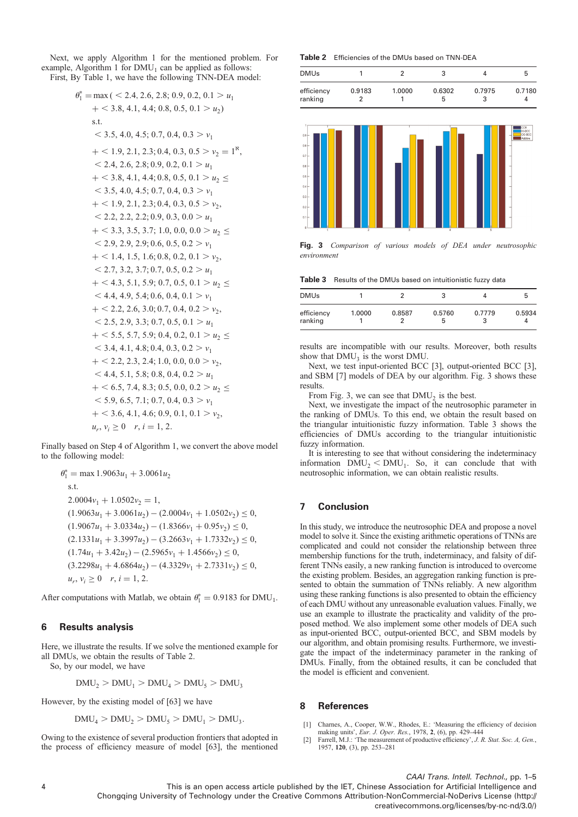<span id="page-4-0"></span>Next, we apply Algorithm 1 for the mentioned problem. For example, Algorithm 1 for  $DMU_1$  can be applied as follows: First, By Table 1, we have the following TNN-DEA model:

 $\theta_1^*$ 

$$
= max (  $2.4, 2.6, 2.8, 0.9, 0.2, 0.1 > u_1$   
+  $2.3, 4.1, 4.4, 0.8, 0.5, 0.1 > u_2$ )  
s.t.  
 $3.5, 4.0, 4.5, 0.7, 0.4, 0.3 > v_1$   
+  $1.9, 2.1, 2.3, 0.4, 0.3, 0.5 > v_2 = 1^8$ ,  
 $2.4, 2.6, 2.8, 0.9, 0.2, 0.1 > u_1$   
+  $3.8, 4.1, 4.4, 0.8, 0.5, 0.1 > u_2 \le$   
 $3.5, 4.0, 4.5, 0.7, 0.4, 0.3 > v_1$   
+  $1.9, 2.1, 2.3, 0.4, 0.3, 0.5 > v_2$ ,  
 $2.2, 2.2, 2.2, 0.9, 0.3, 0.0 > u_1$   
+  $3.3, 3.5, 3.7, 1.0, 0.0, 0.0 > u_2 \le$   
 $2.9, 2.9, 2.9, 0.6, 0.5, 0.2 > v_1$   
+  $1.4, 1.5, 1.6, 0.8, 0.2, 0.1 > v_2$ ,  
 $2.7, 3.2, 3.7, 0.7, 0.5, 0.2 > u_1$   
+  $4.3, 5.1, 5.9, 0.7, 0.5, 0.1 > u_2 \le$   
 $4.4, 4.9, 5.4, 0.6, 0.4, 0.1 > v_1$   
+  $2.2, 2.6, 3.0, 0.7, 0.4, 0.2 > v_2$ ,  
 $2.5, 2.9, 3.3, 0.7, 0.5, 0.1 > u_1$   
+  $5.5, 5.7, 5.9, 0.4, 0.2, 0.1 > u_2 \le$   
 $3.4, 4.1, 4.8, 0.4,$
$$

Finally based on Step 4 of Algorithm 1, we convert the above model to the following model:

 $\theta_1^* = \max 1.9063u_1 + 3.0061u_2$ s.t.  $2.0004v_1 + 1.0502v_2 = 1$ ,  $(1.9063u_1 + 3.0061u_2) - (2.0004v_1 + 1.0502v_2) \le 0,$  $(1.9067u_1 + 3.0334u_2) - (1.8366v_1 + 0.95v_2) \le 0,$  $(2.1331u_1 + 3.3997u_2) - (3.2663v_1 + 1.7332v_2) \le 0,$  $(1.74u_1 + 3.42u_2) - (2.5965v_1 + 1.4566v_2) \le 0$  $(3.2298u_1 + 4.6864u_2) - (4.3329v_1 + 2.7331v_2) \le 0,$  $u_r, v_i \ge 0$   $r, i = 1, 2.$ 

After computations with Matlab, we obtain  $\theta_1^* = 0.9183$  for DMU<sub>1</sub>.

#### 6 **Results analysis**

Here, we illustrate the results. If we solve the mentioned example for all DMUs, we obtain the results of Table 2.

So, by our model, we have

$$
DMU_2 > DMU_1 > DMU_4 > DMU_5 > DMU_3
$$

However, by the existing model of [63] we have

 $DMU<sub>4</sub> > DMU<sub>2</sub> > DMU<sub>5</sub> > DMU<sub>1</sub> > DMU<sub>3</sub>$ 

Owing to the existence of several production frontiers that adopted in the process of efficiency measure of model [63], the mentioned Table 2 Efficiencies of the DMUs based on TNN-DEA





Fig. 3 Comparison of various models of DEA under neutrosophic environment

Table 3 Results of the DMUs based on intuitionistic fuzzy data

| <b>DMUs</b>           |        |        |             |             | b      |
|-----------------------|--------|--------|-------------|-------------|--------|
| efficiency<br>ranking | 1.0000 | 0.8587 | 0.5760<br>b | 0.7779<br>3 | 0.5934 |

results are incompatible with our results. Moreover, both results show that  $DMU<sub>2</sub>$  is the worst DMU.

Next, we test input-oriented BCC [3], output-oriented BCC [3], and SBM [7] models of DEA by our algorithm. Fig. 3 shows these results

From Fig. 3, we can see that  $DMU<sub>2</sub>$  is the best.

Next, we investigate the impact of the neutrosophic parameter in the ranking of DMUs. To this end, we obtain the result based on the triangular intuitionistic fuzzy information. Table 3 shows the efficiencies of DMUs according to the triangular intuitionistic fuzzy information.

It is interesting to see that without considering the indeterminacy information  $DMU_2 < DMU_1$ . So, it can conclude that with neutrosophic information, we can obtain realistic results.

#### **Conclusion**  $\overline{7}$

In this study, we introduce the neutrosophic DEA and propose a novel model to solve it. Since the existing arithmetic operations of TNNs are complicated and could not consider the relationship between three membership functions for the truth, indeterminacy, and falsity of different TNNs easily, a new ranking function is introduced to overcome the existing problem. Besides, an aggregation ranking function is presented to obtain the summation of TNNs reliably. A new algorithm using these ranking functions is also presented to obtain the efficiency of each DMU without any unreasonable evaluation values. Finally, we use an example to illustrate the practicality and validity of the proposed method. We also implement some other models of DEA such as input-oriented BCC, output-oriented BCC, and SBM models by our algorithm, and obtain promising results. Furthermore, we investigate the impact of the indeterminacy parameter in the ranking of DMUs. Finally, from the obtained results, it can be concluded that the model is efficient and convenient.

#### **References** 8

- [1] Charnes, A., Cooper, W.W., Rhodes, E.: 'Measuring the efficiency of decision making units', Eur. J. Oper. Res., 1978, 2, (6), pp. 429-444
- $\lceil 2 \rceil$ Farrell, M.J.: 'The measurement of productive efficiency', J. R. Stat. Soc. A, Gen., 1957, 120, (3), pp. 253-281

CAAI Trans. Intell. Technol., pp. 1-5 This is an open access article published by the IET, Chinese Association for Artificial Intelligence and Chongqing University of Technology under the Creative Commons Attribution-NonCommercial-NoDerivs License (http:// creativecommons.org/licenses/by-nc-nd/3.0/)